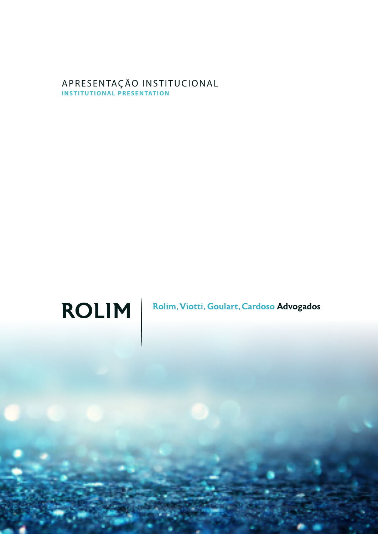### APRESENTAÇÃO INSTITUCIONAL **INSTITUTIONAL PRESENTATION**



Rolim, Viotti, Goulart, Cardoso Advogados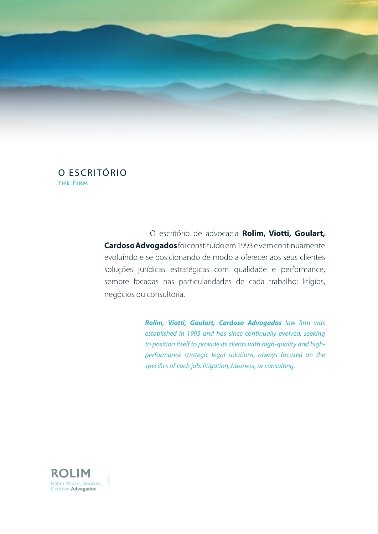

## O ESCRITÓRIO the Firm

 O escritório de advocacia **Rolim, Viotti, Goulart, Cardoso Advogados** foi constituído em 1993 e vem continuamente evoluindo e se posicionando de modo a oferecer aos seus clientes soluções jurídicas estratégicas com qualidade e performance, sempre focadas nas particularidades de cada trabalho: litígios, negócios ou consultoria.

> *Rolim, Viotti, Goulart, Cardoso Advogados law firm was established in 1993 and has since continually evolved, seeking to position itself to provide its clients with high-quality and highperformance strategic legal solutions, always focused on the specifics of each job: litigation, business, or consulting.*

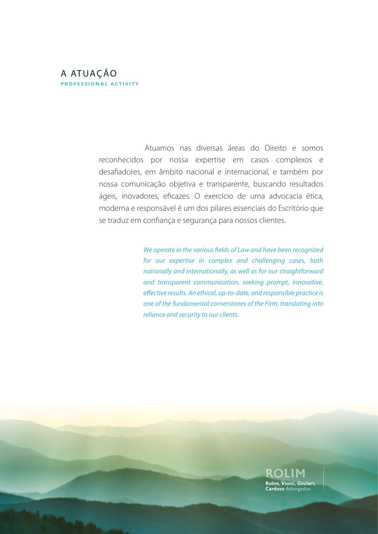### A ATUAÇÃO professional activity

 Atuamos nas diversas áreas do Direito e somos reconhecidos por nossa expertise em casos complexos e desafiadores, em âmbito nacional e internacional, e também por nossa comunicação objetiva e transparente, buscando resultados ágeis, inovadores, eficazes. O exercício de uma advocacia ética, moderna e responsável é um dos pilares essenciais do Escritório que se traduz em confiança e segurança para nossos clientes.

> *We operate in the various fields of Law and have been recognized for our expertise in complex and challenging cases, both nationally and internationally, as well as for our straightforward and transparent communication, seeking prompt, innovative, effective results. An ethical, up-to-date, and responsible practice is one of the fundamental cornerstones of the Firm, translating into reliance and security to our clients.*

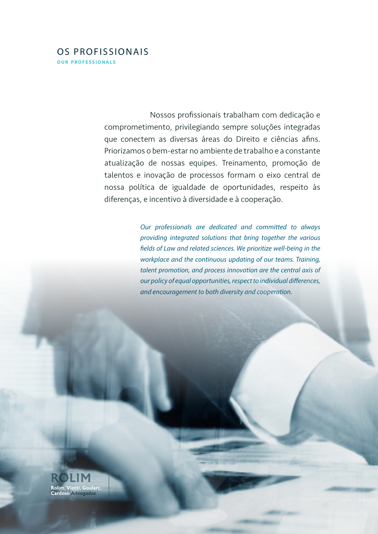### OS PROFISSIONAIS **OUR PROFESSIONALS**

 Nossos profissionais trabalham com dedicação e comprometimento, privilegiando sempre soluções integradas que conectem as diversas áreas do Direito e ciências afins. Priorizamos o bem-estar no ambiente de trabalho e a constante atualização de nossas equipes. Treinamento, promoção de talentos e inovação de processos formam o eixo central de nossa política de igualdade de oportunidades, respeito às diferenças, e incentivo à diversidade e à cooperação.

> *Our professionals are dedicated and committed to always providing integrated solutions that bring together the various fields of Law and related sciences. We prioritize well-being in the workplace and the continuous updating of our teams. Training, talent promotion, and process innovation are the central axis of our policy of equal opportunities, respect to individual differences, and encouragement to both diversity and cooperation.*

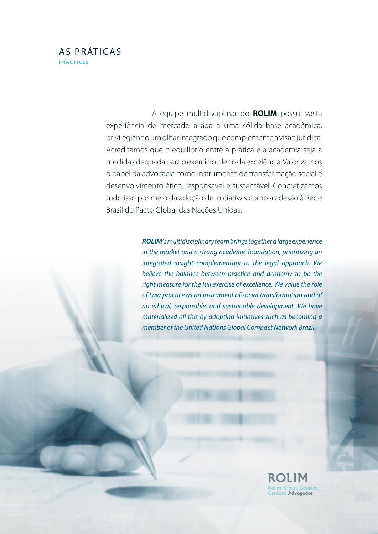# AS PRÁTICAS **PRACTICES**

 A equipe multidisciplinar do **ROLIM** possui vasta experiência de mercado aliada a uma sólida base acadêmica, privilegiando um olhar integrado que complemente a visão jurídica. Acreditamos que o equilíbrio entre a prática e a academia seja a medida adequada para o exercício pleno da excelência. Valorizamos o papel da advocacia como instrumento de transformação social e desenvolvimento ético, responsável e sustentável. Concretizamos tudo isso por meio da adoção de iniciativas como a adesão à Rede Brasil do Pacto Global das Nações Unidas.

> *ROLIM's multidisciplinary team brings together a large experience in the market and a strong academic foundation, prioritizing an integrated insight complementary to the legal approach. We believe the balance between practice and academy to be the right measure for the full exercise of excellence. We value the role of Law practice as an instrument of social transformation and of an ethical, responsible, and sustainable development. We have materialized all this by adopting initiatives such as becoming a member of the United Nations Global Compact Network Brazil.*

> > Rolim, <mark>Viotti, Goulart</mark>,<br>Cardoso Advogados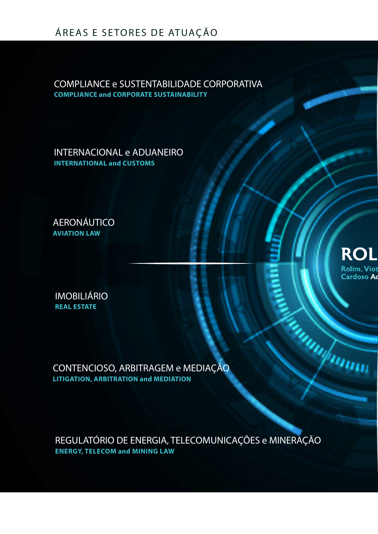# ÁREAS E SETORES DE ATUAÇÃO

COMPLIANCE e SUSTENTABILIDADE CORPORATIVA **COMPLIANCE and CORPORATE SUSTAINABILITY**

INTERNACIONAL e ADUANEIRO **INTERNATIONAL and CUSTOMS**

AERONÁUTICO **AVIATION LAW**

IMOBILIÁRIO **REAL ESTATE**

CONTENCIOSO, ARBITRAGEM e MEDIAÇÃO **LITIGATION, ARBITRATION and MEDIATION**

REGULATÓRIO DE ENERGIA, TELECOMUNICAÇÕES e MINERAÇÃO **ENERGY, TELECOM and MINING LAW**

**ROI Rolim. Viot Cardoso Ao** 

**Supramond**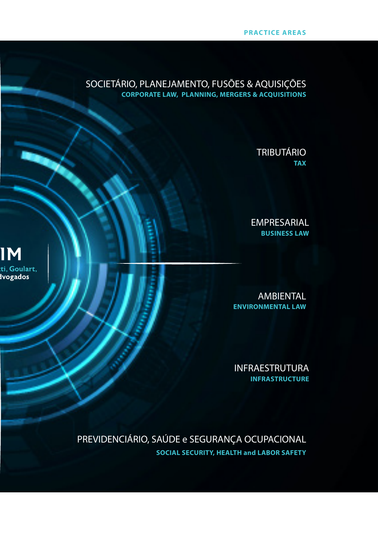### **PRACTICE AREAS**

## SOCIETÁRIO, PLANEJAMENTO, FUSÕES & AQUISIÇÕES **CORPORATE LAW, PLANNING, MERGERS & ACQUISITIONS**

**IM** 

:ti, Goulart,<br>Ivogados

# TRIBUTÁRIO **TAX**

EMPRESARIAL **BUSINESS LAW**

AMBIENTAL **ENVIRONMENTAL LAW**

INFRAESTRUTURA **INFRASTRUCTURE**

PREVIDENCIÁRIO, SAÚDE e SEGURANÇA OCUPACIONAL **SOCIAL SECURITY, HEALTH and LABOR SAFETY**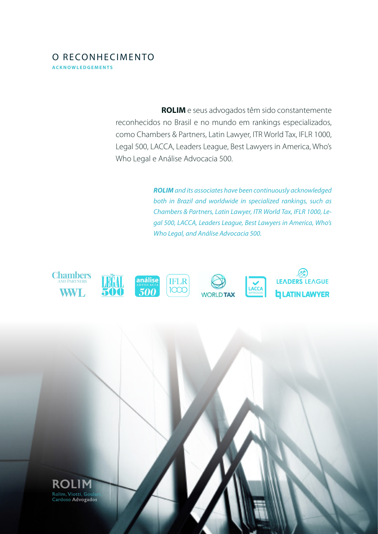# O RECONHECIMENTO **a c k n o w l e d g e m e n t s**

 **ROLIM** e seus advogados têm sido constantemente reconhecidos no Brasil e no mundo em rankings especializados, como Chambers & Partners, Latin Lawyer, ITR World Tax, IFLR 1000, Legal 500, LACCA, Leaders League, Best Lawyers in America, Who's Who Legal e Análise Advocacia 500.

> *ROLIM and its associates have been continuously acknowledged both in Brazil and worldwide in specialized rankings, such as Chambers & Partners, Latin Lawyer, ITR World Tax, IFLR 1000, Legal 500, LACCA, Leaders League, Best Lawyers in America, Who's Who Legal, and Análise Advocacia 500.*



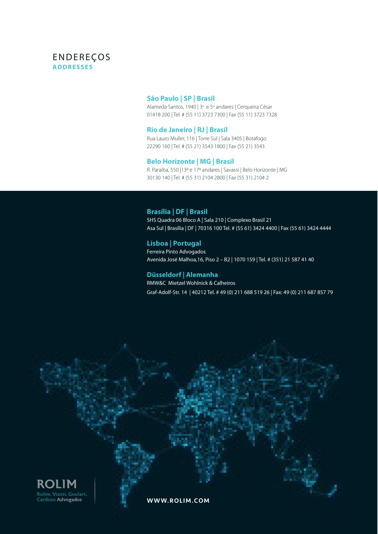### ENDEREÇOS **ADDRESSES**

#### **São Paulo | SP | Brasil**

Alameda Santos, 1940 | 3º e 5º andares | Cerqueira César 01418 200 | Tel. # (55 11) 3723 7300 | Fax (55 11) 3723 7328

#### **Rio de Janeiro | RJ | Brasil**

Rua Lauro Muller, 116 | Torre Sul | Sala 3405 | Botafogo 22290 160 | Tel. # (55 21) 3543 1800 | Fax (55 21) 3543

#### **Belo Horizonte | MG | Brasil**

R. Paraíba, 550 |13º e 17º andares | Savassi | Belo Horizonte | MG 30130 140 | Tel. # (55 31) 2104 2800 | Fax (55 31) 2104 2

#### **Brasília | DF | Brasil**

SHS Quadra 06 Bloco A | Sala 210 | Complexo Brasil 21 Asa Sul | Brasília | DF | 70316 100 Tel. # (55 61) 3424 4400 | Fax (55 61) 3424 4444

#### **Lisboa | Portugal**  Ferreira Pinto Advogados Avenida José Malhoa,16, Piso 2 – B2 | 1070 159 | Tel. # (351) 21 587 41 40

#### **Düsseldorf | Alemanha**

RMW&C Mietzel Wohlnick & Calheiros Graf-Adolf-Str. 14 | 40212 Tel. # 49 (0) 211 688 519 26 | Fax: 49 (0) 211 687 857 79



WWW.ROLIM.COM